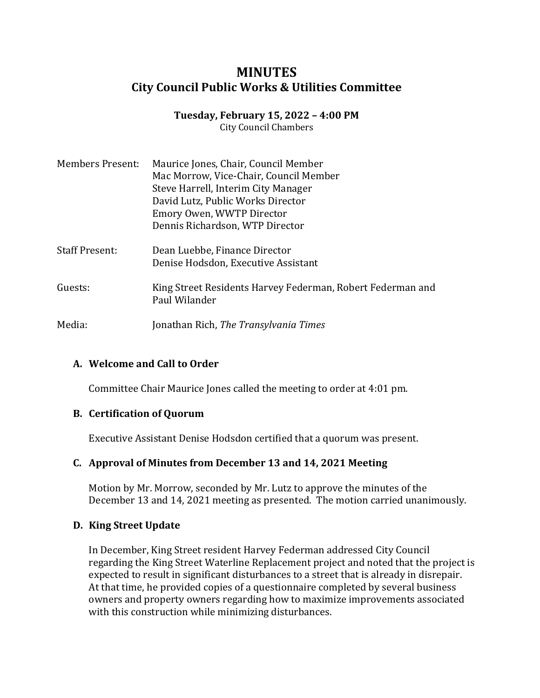# **MINUTES City Council Public Works & Utilities Committee**

# **Tuesday, February 15, 2022 – 4:00 PM**

City Council Chambers

| <b>Members Present:</b> | Maurice Jones, Chair, Council Member<br>Mac Morrow, Vice-Chair, Council Member<br>Steve Harrell, Interim City Manager<br>David Lutz, Public Works Director<br>Emory Owen, WWTP Director<br>Dennis Richardson, WTP Director |
|-------------------------|----------------------------------------------------------------------------------------------------------------------------------------------------------------------------------------------------------------------------|
| <b>Staff Present:</b>   | Dean Luebbe, Finance Director<br>Denise Hodsdon, Executive Assistant                                                                                                                                                       |
| Guests:                 | King Street Residents Harvey Federman, Robert Federman and<br>Paul Wilander                                                                                                                                                |
| Media:                  | Jonathan Rich, The Transylvania Times                                                                                                                                                                                      |

## **A. Welcome and Call to Order**

Committee Chair Maurice Jones called the meeting to order at 4:01 pm.

### **B. Certification of Quorum**

Executive Assistant Denise Hodsdon certified that a quorum was present.

### **C. Approval of Minutes from December 13 and 14, 2021 Meeting**

Motion by Mr. Morrow, seconded by Mr. Lutz to approve the minutes of the December 13 and 14, 2021 meeting as presented. The motion carried unanimously.

### **D. King Street Update**

In December, King Street resident Harvey Federman addressed City Council regarding the King Street Waterline Replacement project and noted that the project is expected to result in significant disturbances to a street that is already in disrepair. At that time, he provided copies of a questionnaire completed by several business owners and property owners regarding how to maximize improvements associated with this construction while minimizing disturbances.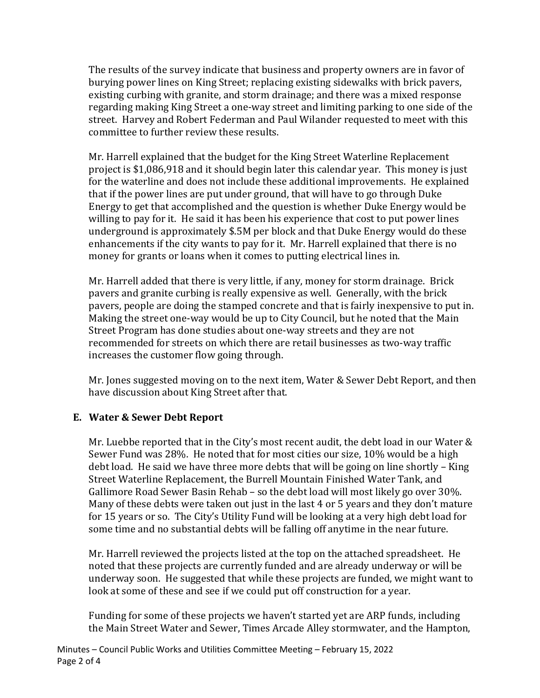The results of the survey indicate that business and property owners are in favor of burying power lines on King Street; replacing existing sidewalks with brick pavers, existing curbing with granite, and storm drainage; and there was a mixed response regarding making King Street a one-way street and limiting parking to one side of the street. Harvey and Robert Federman and Paul Wilander requested to meet with this committee to further review these results.

Mr. Harrell explained that the budget for the King Street Waterline Replacement project is \$1,086,918 and it should begin later this calendar year. This money is just for the waterline and does not include these additional improvements. He explained that if the power lines are put under ground, that will have to go through Duke Energy to get that accomplished and the question is whether Duke Energy would be willing to pay for it. He said it has been his experience that cost to put power lines underground is approximately \$.5M per block and that Duke Energy would do these enhancements if the city wants to pay for it. Mr. Harrell explained that there is no money for grants or loans when it comes to putting electrical lines in.

Mr. Harrell added that there is very little, if any, money for storm drainage. Brick pavers and granite curbing is really expensive as well. Generally, with the brick pavers, people are doing the stamped concrete and that is fairly inexpensive to put in. Making the street one-way would be up to City Council, but he noted that the Main Street Program has done studies about one-way streets and they are not recommended for streets on which there are retail businesses as two-way traffic increases the customer flow going through.

Mr. Jones suggested moving on to the next item, Water & Sewer Debt Report, and then have discussion about King Street after that.

## **E. Water & Sewer Debt Report**

Mr. Luebbe reported that in the City's most recent audit, the debt load in our Water & Sewer Fund was 28%. He noted that for most cities our size, 10% would be a high debt load. He said we have three more debts that will be going on line shortly – King Street Waterline Replacement, the Burrell Mountain Finished Water Tank, and Gallimore Road Sewer Basin Rehab – so the debt load will most likely go over 30%. Many of these debts were taken out just in the last 4 or 5 years and they don't mature for 15 years or so. The City's Utility Fund will be looking at a very high debt load for some time and no substantial debts will be falling off anytime in the near future.

Mr. Harrell reviewed the projects listed at the top on the attached spreadsheet. He noted that these projects are currently funded and are already underway or will be underway soon. He suggested that while these projects are funded, we might want to look at some of these and see if we could put off construction for a year.

Funding for some of these projects we haven't started yet are ARP funds, including the Main Street Water and Sewer, Times Arcade Alley stormwater, and the Hampton,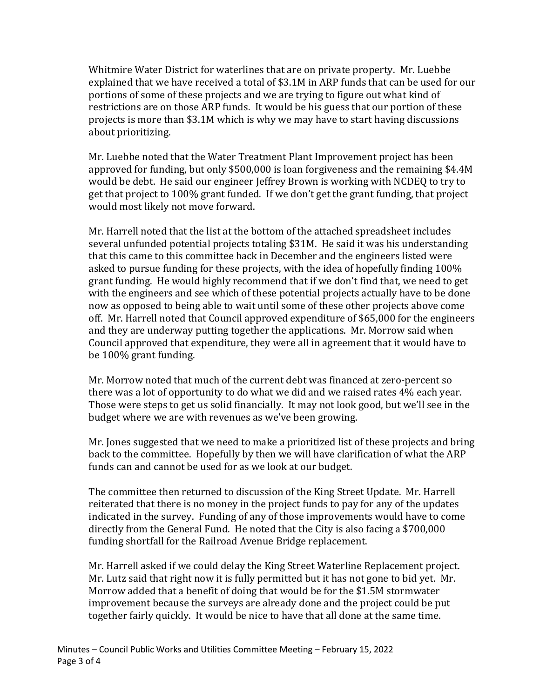Whitmire Water District for waterlines that are on private property. Mr. Luebbe explained that we have received a total of \$3.1M in ARP funds that can be used for our portions of some of these projects and we are trying to figure out what kind of restrictions are on those ARP funds. It would be his guess that our portion of these projects is more than \$3.1M which is why we may have to start having discussions about prioritizing.

Mr. Luebbe noted that the Water Treatment Plant Improvement project has been approved for funding, but only \$500,000 is loan forgiveness and the remaining \$4.4M would be debt. He said our engineer Jeffrey Brown is working with NCDEQ to try to get that project to 100% grant funded. If we don't get the grant funding, that project would most likely not move forward.

Mr. Harrell noted that the list at the bottom of the attached spreadsheet includes several unfunded potential projects totaling \$31M. He said it was his understanding that this came to this committee back in December and the engineers listed were asked to pursue funding for these projects, with the idea of hopefully finding 100% grant funding. He would highly recommend that if we don't find that, we need to get with the engineers and see which of these potential projects actually have to be done now as opposed to being able to wait until some of these other projects above come off. Mr. Harrell noted that Council approved expenditure of \$65,000 for the engineers and they are underway putting together the applications. Mr. Morrow said when Council approved that expenditure, they were all in agreement that it would have to be 100% grant funding.

Mr. Morrow noted that much of the current debt was financed at zero-percent so there was a lot of opportunity to do what we did and we raised rates 4% each year. Those were steps to get us solid financially. It may not look good, but we'll see in the budget where we are with revenues as we've been growing.

Mr. Jones suggested that we need to make a prioritized list of these projects and bring back to the committee. Hopefully by then we will have clarification of what the ARP funds can and cannot be used for as we look at our budget.

The committee then returned to discussion of the King Street Update. Mr. Harrell reiterated that there is no money in the project funds to pay for any of the updates indicated in the survey. Funding of any of those improvements would have to come directly from the General Fund. He noted that the City is also facing a \$700,000 funding shortfall for the Railroad Avenue Bridge replacement.

Mr. Harrell asked if we could delay the King Street Waterline Replacement project. Mr. Lutz said that right now it is fully permitted but it has not gone to bid yet. Mr. Morrow added that a benefit of doing that would be for the \$1.5M stormwater improvement because the surveys are already done and the project could be put together fairly quickly. It would be nice to have that all done at the same time.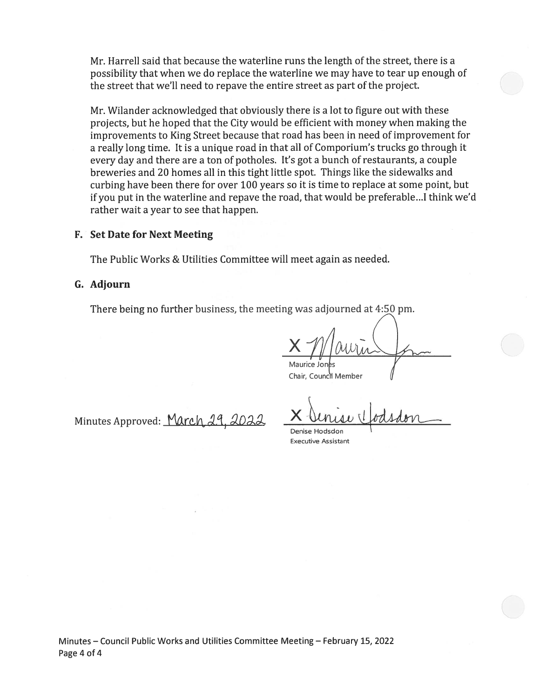Mr. Harrell said that because the waterline runs the length of the street, there is a possibility that when we do replace the waterline we may have to tear up enough of the street that we'll need to repave the entire street as part of the project.

Mr. Wilander acknowledged that obviously there is a lot to figure out with these projects, but he hoped that the City would be efficient with money when making the improvements to King Street because that road has been in need of improvement for a really long time. It is a unique road in that all of Comporium's trucks go through it every day and there are a ton of potholes. It's got a bunch of restaurants, a couple breweries and 20 homes all in this tight little spot. Things like the sidewalks and curbing have been there for over 100 years so it is time to replace at some point, but if you put in the waterline and repave the road, that would be preferable...I think we'd rather wait a year to see that happen.

#### **F.** Set Date for Next Meeting

The Public Works & Utilities Committee will meet again as needed.

#### G. Adjourn

There being no further business, the meeting was adjourned at 4:50 pm.

Chair, Council Member

Denise Hodsdon **Executive Assistant** 

Minutes - Council Public Works and Utilities Committee Meeting - February 15, 2022 Page 4 of 4

Minutes Approved: March 29. 202